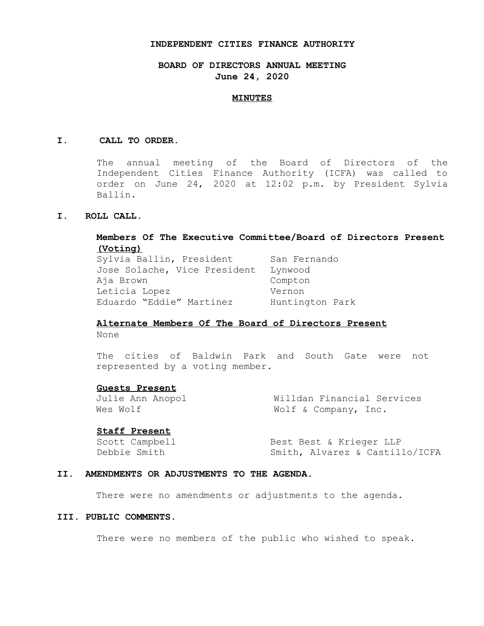#### **INDEPENDENT CITIES FINANCE AUTHORITY**

# **BOARD OF DIRECTORS ANNUAL MEETING June 24, 2020**

#### **MINUTES**

#### **I. CALL TO ORDER.**

The annual meeting of the Board of Directors of the Independent Cities Finance Authority (ICFA) was called to order on June 24, 2020 at 12:02 p.m. by President Sylvia Ballin.

## **I. ROLL CALL.**

# **Members Of The Executive Committee/Board of Directors Present (Voting)**

Sylvia Ballin, President San Fernando Jose Solache, Vice President Lynwood Aja Brown Compton Leticia Lopez Vernon Eduardo "Eddie" Martinez Huntington Park

# **Alternate Members Of The Board of Directors Present**

None

The cities of Baldwin Park and South Gate were not represented by a voting member.

## **Guests Present**

Julie Ann Anopol Willdan Financial Services Wes Wolf  $W$  Wolf & Company, Inc.

## **Staff Present**

Scott Campbell Best Best & Krieger LLP Debbie Smith Smith, Alvarez & Castillo/ICFA

## **II. AMENDMENTS OR ADJUSTMENTS TO THE AGENDA.**

There were no amendments or adjustments to the agenda.

## **III. PUBLIC COMMENTS.**

There were no members of the public who wished to speak.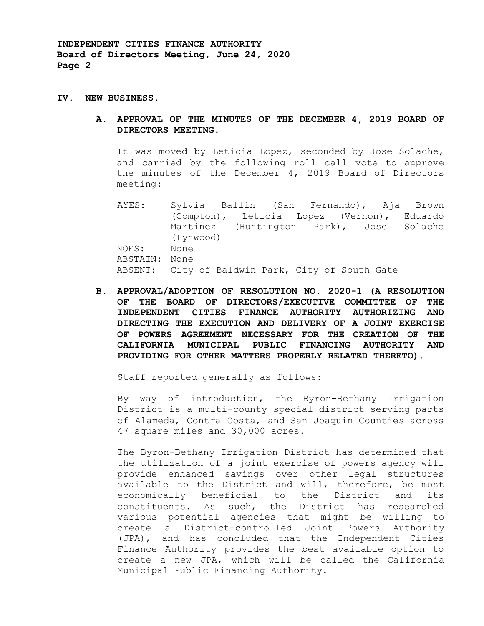**INDEPENDENT CITIES FINANCE AUTHORITY Board of Directors Meeting, June 24, 2020 Page 2** 

#### **IV. NEW BUSINESS.**

**A. APPROVAL OF THE MINUTES OF THE DECEMBER 4, 2019 BOARD OF DIRECTORS MEETING.** 

It was moved by Leticia Lopez, seconded by Jose Solache, and carried by the following roll call vote to approve the minutes of the December 4, 2019 Board of Directors meeting:

AYES: Sylvia Ballin (San Fernando), Aja Brown (Compton), Leticia Lopez (Vernon), Eduardo Martinez (Huntington Park), Jose Solache (Lynwood) NOES: None ABSTAIN: None ABSENT: City of Baldwin Park, City of South Gate

**B. APPROVAL/ADOPTION OF RESOLUTION NO. 2020-1 (A RESOLUTION OF THE BOARD OF DIRECTORS/EXECUTIVE COMMITTEE OF THE INDEPENDENT CITIES FINANCE AUTHORITY AUTHORIZING AND DIRECTING THE EXECUTION AND DELIVERY OF A JOINT EXERCISE OF POWERS AGREEMENT NECESSARY FOR THE CREATION OF THE CALIFORNIA MUNICIPAL PUBLIC FINANCING AUTHORITY AND PROVIDING FOR OTHER MATTERS PROPERLY RELATED THERETO).** 

Staff reported generally as follows:

By way of introduction, the Byron-Bethany Irrigation District is a multi-county special district serving parts of Alameda, Contra Costa, and San Joaquin Counties across 47 square miles and 30,000 acres.

The Byron-Bethany Irrigation District has determined that the utilization of a joint exercise of powers agency will provide enhanced savings over other legal structures available to the District and will, therefore, be most economically beneficial to the District and its constituents. As such, the District has researched various potential agencies that might be willing to create a District-controlled Joint Powers Authority (JPA), and has concluded that the Independent Cities Finance Authority provides the best available option to create a new JPA, which will be called the California Municipal Public Financing Authority.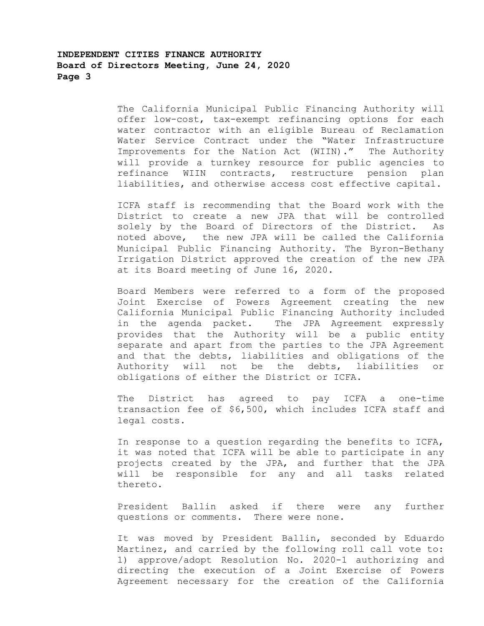# **INDEPENDENT CITIES FINANCE AUTHORITY Board of Directors Meeting, June 24, 2020 Page 3**

The California Municipal Public Financing Authority will offer low-cost, tax-exempt refinancing options for each water contractor with an eligible Bureau of Reclamation Water Service Contract under the "Water Infrastructure Improvements for the Nation Act (WIIN)." The Authority will provide a turnkey resource for public agencies to refinance WIIN contracts, restructure pension plan liabilities, and otherwise access cost effective capital.

ICFA staff is recommending that the Board work with the District to create a new JPA that will be controlled solely by the Board of Directors of the District. As noted above, the new JPA will be called the California Municipal Public Financing Authority. The Byron-Bethany Irrigation District approved the creation of the new JPA at its Board meeting of June 16, 2020.

Board Members were referred to a form of the proposed Joint Exercise of Powers Agreement creating the new California Municipal Public Financing Authority included in the agenda packet. The JPA Agreement expressly provides that the Authority will be a public entity separate and apart from the parties to the JPA Agreement and that the debts, liabilities and obligations of the Authority will not be the debts, liabilities or obligations of either the District or ICFA.

The District has agreed to pay ICFA a one-time transaction fee of \$6,500, which includes ICFA staff and legal costs.

In response to a question regarding the benefits to ICFA, it was noted that ICFA will be able to participate in any projects created by the JPA, and further that the JPA will be responsible for any and all tasks related thereto.

President Ballin asked if there were any further questions or comments. There were none.

It was moved by President Ballin, seconded by Eduardo Martinez, and carried by the following roll call vote to: 1) approve/adopt Resolution No. 2020-1 authorizing and directing the execution of a Joint Exercise of Powers Agreement necessary for the creation of the California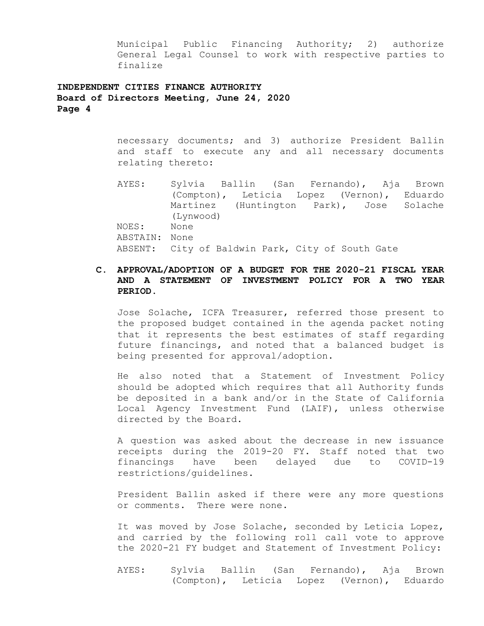Municipal Public Financing Authority; 2) authorize General Legal Counsel to work with respective parties to finalize

# **INDEPENDENT CITIES FINANCE AUTHORITY Board of Directors Meeting, June 24, 2020 Page 4**

necessary documents; and 3) authorize President Ballin and staff to execute any and all necessary documents relating thereto:

AYES: Sylvia Ballin (San Fernando), Aja Brown (Compton), Leticia Lopez (Vernon), Eduardo Martinez (Huntington Park), Jose Solache (Lynwood) NOES: None ABSTAIN: None ABSENT: City of Baldwin Park, City of South Gate

# **C. APPROVAL/ADOPTION OF A BUDGET FOR THE 2020-21 FISCAL YEAR AND A STATEMENT OF INVESTMENT POLICY FOR A TWO YEAR PERIOD.**

Jose Solache, ICFA Treasurer, referred those present to the proposed budget contained in the agenda packet noting that it represents the best estimates of staff regarding future financings, and noted that a balanced budget is being presented for approval/adoption.

He also noted that a Statement of Investment Policy should be adopted which requires that all Authority funds be deposited in a bank and/or in the State of California Local Agency Investment Fund (LAIF), unless otherwise directed by the Board.

A question was asked about the decrease in new issuance receipts during the 2019-20 FY. Staff noted that two financings have been delayed due to COVID-19 restrictions/guidelines.

President Ballin asked if there were any more questions or comments. There were none.

It was moved by Jose Solache, seconded by Leticia Lopez, and carried by the following roll call vote to approve the 2020-21 FY budget and Statement of Investment Policy:

AYES: Sylvia Ballin (San Fernando), Aja Brown (Compton), Leticia Lopez (Vernon), Eduardo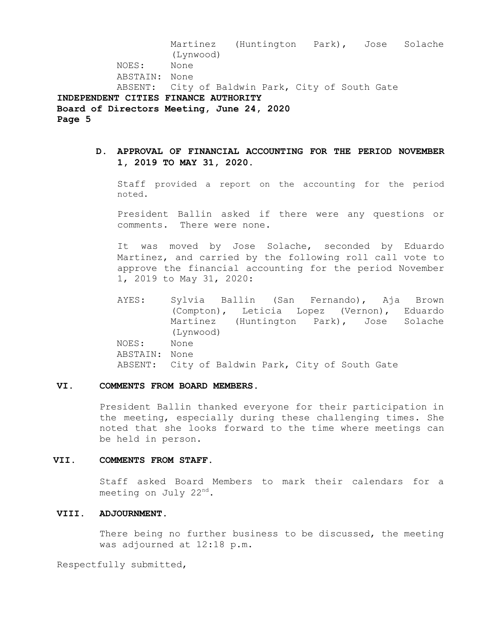Martinez (Huntington Park), Jose Solache (Lynwood) NOES: None ABSTAIN: None ABSENT: City of Baldwin Park, City of South Gate **INDEPENDENT CITIES FINANCE AUTHORITY Board of Directors Meeting, June 24, 2020 Page 5** 

**D. APPROVAL OF FINANCIAL ACCOUNTING FOR THE PERIOD NOVEMBER 1, 2019 TO MAY 31, 2020.** 

Staff provided a report on the accounting for the period noted.

President Ballin asked if there were any questions or comments. There were none.

It was moved by Jose Solache, seconded by Eduardo Martinez, and carried by the following roll call vote to approve the financial accounting for the period November 1, 2019 to May 31, 2020:

AYES: Sylvia Ballin (San Fernando), Aja Brown (Compton), Leticia Lopez (Vernon), Eduardo Martinez (Huntington Park), Jose Solache (Lynwood) NOES: None ABSTAIN: None ABSENT: City of Baldwin Park, City of South Gate

#### **VI. COMMENTS FROM BOARD MEMBERS.**

President Ballin thanked everyone for their participation in the meeting, especially during these challenging times. She noted that she looks forward to the time where meetings can be held in person.

#### **VII. COMMENTS FROM STAFF.**

Staff asked Board Members to mark their calendars for a meeting on July  $22<sup>nd</sup>$ .

## **VIII. ADJOURNMENT.**

There being no further business to be discussed, the meeting was adjourned at 12:18 p.m.

Respectfully submitted,